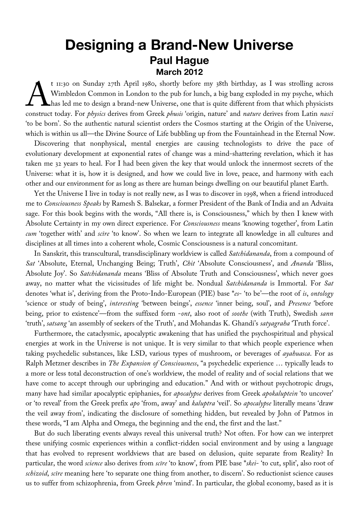## **Designing a Brand-New Universe Paul Hague March 2012**

t 11:30 on Sunday 27th April 1980, shortly before my 38th birthday, as I was strolling across Wimbledon Common in London to the pub for lunch, a big bang exploded in my psyche, which has led me to design a brand-new Universe, one that is quite different from that which physicists t 11:30 on Sunday 27th April 1980, shortly before my 38th birthday, as I was strolling across<br>Wimbledon Common in London to the pub for lunch, a big bang exploded in my psyche, which<br>has led me to design a brand-new Univer 'to be born'. So the authentic natural scientist orders the Cosmos starting at the Origin of the Universe, which is within us all—the Divine Source of Life bubbling up from the Fountainhead in the Eternal Now.

Discovering that nonphysical, mental energies are causing technologists to drive the pace of evolutionary development at exponential rates of change was a mind-shattering revelation, which it has taken me 32 years to heal. For I had been given the key that would unlock the innermost secrets of the Universe: what it is, how it is designed, and how we could live in love, peace, and harmony with each other and our environment for as long as there are human beings dwelling on our beautiful planet Earth.

Yet the Universe I live in today is not really new, as I was to discover in 1998, when a friend introduced me to *Consciousness Speaks* by Ramesh S. Balsekar, a former President of the Bank of India and an Advaita sage. For this book begins with the words, "All there is, is Consciousness," which by then I knew with Absolute Certainty in my own direct experience. For *Consciousness* means 'knowing together', from Latin *cum* 'together with' and *scīre* 'to know'. So when we learn to integrate all knowledge in all cultures and disciplines at all times into a coherent whole, Cosmic Consciousness is a natural concomitant.

In Sanskrit, this transcultural, transdisciplinary worldview is called *Satchidananda*, from a compound of *Sat* 'Absolute, Eternal, Unchanging Being; Truth', *Chit* 'Absolute Consciousness', and *Ananda* 'Bliss, Absolute Joy'. So *Satchidananda* means 'Bliss of Absolute Truth and Consciousness', which never goes away, no matter what the vicissitudes of life might be. Nondual *Satchidananda* is Immortal. For *Sat* denotes 'what is', deriving from the Proto-Indo-European (PIE) base \**es*- 'to be'—the root of *is*, *ontology* 'science or study of being', *interesting* 'between beings', *essence* 'inner being, soul', and *Presence* 'before being, prior to existence'—from the suffixed form -*ont*, also root of *soothe* (with Truth), Swedish *sann* 'truth', *satsang* 'an assembly of seekers of the Truth', and Mohandas K. Ghandi's *satyagraha* 'Truth force'.

Furthermore, the cataclysmic, apocalyptic awakening that has unified the psychospiritual and physical energies at work in the Universe is not unique. It is very similar to that which people experience when taking psychedelic substances, like LSD, various types of mushroom, or beverages of *ayahuasca*. For as Ralph Metzner describes in *The Expansion of Consciousness*, "a psychedelic experience … typically leads to a more or less total deconstruction of one's worldview, the model of reality and of social relations that we have come to accept through our upbringing and education." And with or without psychotropic drugs, many have had similar apocalyptic epiphanies, for *apocalypse* derives from Greek *apokaluptein* 'to uncover' or 'to reveal' from the Greek prefix *apo* 'from, away' and *kaluptra* 'veil'. So *apocalypse* literally means 'draw the veil away from', indicating the disclosure of something hidden, but revealed by John of Patmos in these words, "I am Alpha and Omega, the beginning and the end, the first and the last."

But do such liberating events always reveal this universal truth? Not often. For how can we interpret these unifying cosmic experiences within a conflict-ridden social environment and by using a language that has evolved to represent worldviews that are based on delusion, quite separate from Reality? In particular, the word *science* also derives from *scīre* 'to know', from PIE base \**skei*- 'to cut, split', also root of *schizoid*, *scīre* meaning here 'to separate one thing from another, to discern'. So reductionist science causes us to suffer from schizophrenia, from Greek *phren* 'mind'. In particular, the global economy, based as it is